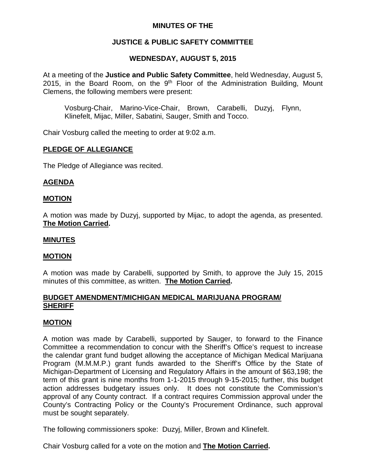## **MINUTES OF THE**

# **JUSTICE & PUBLIC SAFETY COMMITTEE**

## **WEDNESDAY, AUGUST 5, 2015**

At a meeting of the **Justice and Public Safety Committee**, held Wednesday, August 5, 2015, in the Board Room, on the  $9<sup>th</sup>$  Floor of the Administration Building, Mount Clemens, the following members were present:

Vosburg-Chair, Marino-Vice-Chair, Brown, Carabelli, Duzyj, Flynn, Klinefelt, Mijac, Miller, Sabatini, Sauger, Smith and Tocco.

Chair Vosburg called the meeting to order at 9:02 a.m.

## **PLEDGE OF ALLEGIANCE**

The Pledge of Allegiance was recited.

## **AGENDA**

#### **MOTION**

A motion was made by Duzyj, supported by Mijac, to adopt the agenda, as presented. **The Motion Carried.**

#### **MINUTES**

#### **MOTION**

A motion was made by Carabelli, supported by Smith, to approve the July 15, 2015 minutes of this committee, as written. **The Motion Carried.**

#### **BUDGET AMENDMENT/MICHIGAN MEDICAL MARIJUANA PROGRAM/ SHERIFF**

#### **MOTION**

A motion was made by Carabelli, supported by Sauger, to forward to the Finance Committee a recommendation to concur with the Sheriff's Office's request to increase the calendar grant fund budget allowing the acceptance of Michigan Medical Marijuana Program (M.M.M.P.) grant funds awarded to the Sheriff's Office by the State of Michigan-Department of Licensing and Regulatory Affairs in the amount of \$63,198; the term of this grant is nine months from 1-1-2015 through 9-15-2015; further, this budget action addresses budgetary issues only. It does not constitute the Commission's approval of any County contract. If a contract requires Commission approval under the County's Contracting Policy or the County's Procurement Ordinance, such approval must be sought separately.

The following commissioners spoke: Duzyj, Miller, Brown and Klinefelt.

Chair Vosburg called for a vote on the motion and **The Motion Carried.**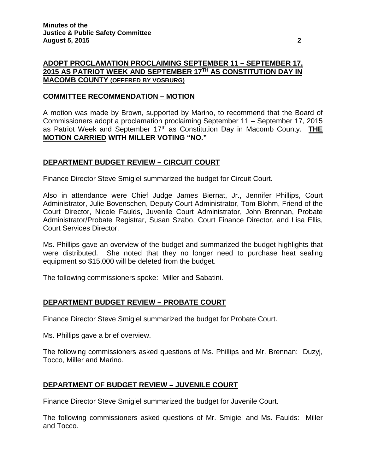## **ADOPT PROCLAMATION PROCLAIMING SEPTEMBER 11 – SEPTEMBER 17, 2015 AS PATRIOT WEEK AND SEPTEMBER 17TH AS CONSTITUTION DAY IN MACOMB COUNTY (OFFERED BY VOSBURG)**

#### **COMMITTEE RECOMMENDATION – MOTION**

A motion was made by Brown, supported by Marino, to recommend that the Board of Commissioners adopt a proclamation proclaiming September 11 – September 17, 2015 as Patriot Week and September 17th as Constitution Day in Macomb County. **THE MOTION CARRIED WITH MILLER VOTING "NO."**

#### **DEPARTMENT BUDGET REVIEW – CIRCUIT COURT**

Finance Director Steve Smigiel summarized the budget for Circuit Court.

Also in attendance were Chief Judge James Biernat, Jr., Jennifer Phillips, Court Administrator, Julie Bovenschen, Deputy Court Administrator, Tom Blohm, Friend of the Court Director, Nicole Faulds, Juvenile Court Administrator, John Brennan, Probate Administrator/Probate Registrar, Susan Szabo, Court Finance Director, and Lisa Ellis, Court Services Director.

Ms. Phillips gave an overview of the budget and summarized the budget highlights that were distributed. She noted that they no longer need to purchase heat sealing equipment so \$15,000 will be deleted from the budget.

The following commissioners spoke: Miller and Sabatini.

## **DEPARTMENT BUDGET REVIEW – PROBATE COURT**

Finance Director Steve Smigiel summarized the budget for Probate Court.

Ms. Phillips gave a brief overview.

The following commissioners asked questions of Ms. Phillips and Mr. Brennan: Duzyj, Tocco, Miller and Marino.

## **DEPARTMENT OF BUDGET REVIEW – JUVENILE COURT**

Finance Director Steve Smigiel summarized the budget for Juvenile Court.

The following commissioners asked questions of Mr. Smigiel and Ms. Faulds: Miller and Tocco.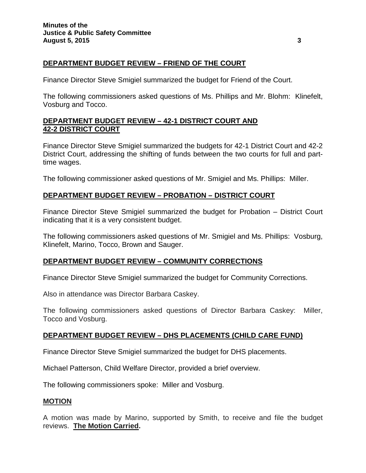# **DEPARTMENT BUDGET REVIEW – FRIEND OF THE COURT**

Finance Director Steve Smigiel summarized the budget for Friend of the Court.

The following commissioners asked questions of Ms. Phillips and Mr. Blohm: Klinefelt, Vosburg and Tocco.

## **DEPARTMENT BUDGET REVIEW – 42-1 DISTRICT COURT AND 42-2 DISTRICT COURT**

Finance Director Steve Smigiel summarized the budgets for 42-1 District Court and 42-2 District Court, addressing the shifting of funds between the two courts for full and parttime wages.

The following commissioner asked questions of Mr. Smigiel and Ms. Phillips: Miller.

#### **DEPARTMENT BUDGET REVIEW – PROBATION – DISTRICT COURT**

Finance Director Steve Smigiel summarized the budget for Probation – District Court indicating that it is a very consistent budget.

The following commissioners asked questions of Mr. Smigiel and Ms. Phillips: Vosburg, Klinefelt, Marino, Tocco, Brown and Sauger.

## **DEPARTMENT BUDGET REVIEW – COMMUNITY CORRECTIONS**

Finance Director Steve Smigiel summarized the budget for Community Corrections.

Also in attendance was Director Barbara Caskey.

The following commissioners asked questions of Director Barbara Caskey: Miller, Tocco and Vosburg.

## **DEPARTMENT BUDGET REVIEW – DHS PLACEMENTS (CHILD CARE FUND)**

Finance Director Steve Smigiel summarized the budget for DHS placements.

Michael Patterson, Child Welfare Director, provided a brief overview.

The following commissioners spoke: Miller and Vosburg.

## **MOTION**

A motion was made by Marino, supported by Smith, to receive and file the budget reviews. **The Motion Carried.**